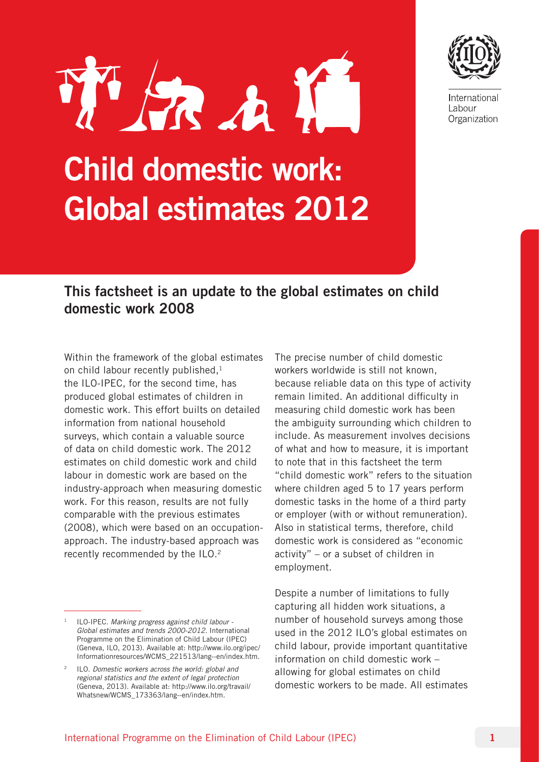

International Labour Organization

# Child domestic work: Global estimates 2012

KA

# This factsheet is an update to the global estimates on child domestic work 2008

Within the framework of the global estimates on child labour recently published, $1$ the ILO-IPEC, for the second time, has produced global estimates of children in domestic work. This effort builts on detailed information from national household surveys, which contain a valuable source of data on child domestic work. The 2012 estimates on child domestic work and child labour in domestic work are based on the industry-approach when measuring domestic work. For this reason, results are not fully comparable with the previous estimates (2008), which were based on an occupationapproach. The industry-based approach was recently recommended by the ILO.2

The precise number of child domestic workers worldwide is still not known, because reliable data on this type of activity remain limited. An additional difficulty in measuring child domestic work has been the ambiguity surrounding which children to include. As measurement involves decisions of what and how to measure, it is important to note that in this factsheet the term "child domestic work" refers to the situation where children aged 5 to 17 years perform domestic tasks in the home of a third party or employer (with or without remuneration). Also in statistical terms, therefore, child domestic work is considered as "economic activity" – or a subset of children in employment.

Despite a number of limitations to fully capturing all hidden work situations, a number of household surveys among those used in the 2012 ILO's global estimates on child labour, provide important quantitative information on child domestic work – allowing for global estimates on child domestic workers to be made. All estimates

<sup>1</sup> ILO-IPEC. *Marking progress against child labour - Global estimates and trends 2000-2012.* International Programme on the Elimination of Child Labour (IPEC) (Geneva, ILO, 2013). Available at: http://www.ilo.org/ipec/ Informationresources/WCMS\_221513/lang--en/index.htm.

<sup>2</sup> ILO. *Domestic workers across the world: global and regional statistics and the extent of legal protection* (Geneva, 2013). Available at: http://www.ilo.org/travail/ Whatsnew/WCMS\_173363/lang--en/index.htm.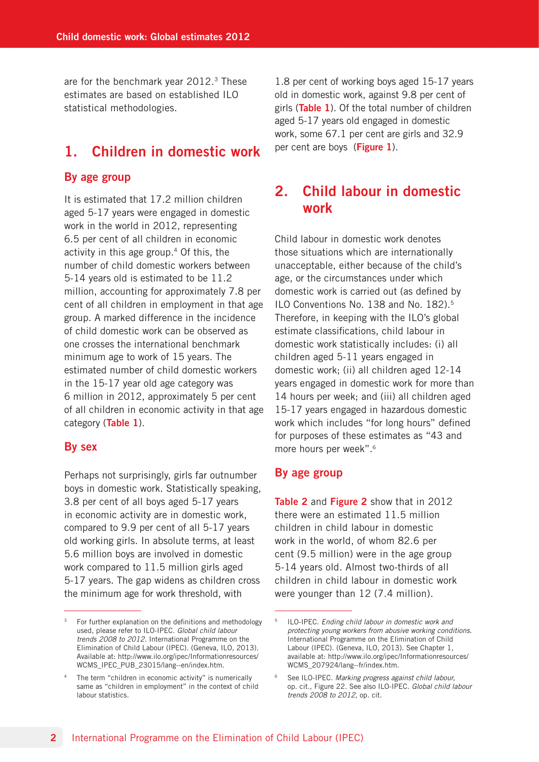are for the benchmark year  $2012.^3$  These estimates are based on established ILO statistical methodologies.

## 1. Children in domestic work

#### By age group

It is estimated that 17.2 million children aged 5-17 years were engaged in domestic work in the world in 2012, representing 6.5 per cent of all children in economic activity in this age group.4 Of this, the number of child domestic workers between 5-14 years old is estimated to be 11.2 million, accounting for approximately 7.8 per cent of all children in employment in that age group. A marked difference in the incidence of child domestic work can be observed as one crosses the international benchmark minimum age to work of 15 years. The estimated number of child domestic workers in the 15-17 year old age category was 6 million in 2012, approximately 5 per cent of all children in economic activity in that age category (Table 1).

#### By sex

Perhaps not surprisingly, girls far outnumber boys in domestic work. Statistically speaking, 3.8 per cent of all boys aged 5-17 years in economic activity are in domestic work, compared to 9.9 per cent of all 5-17 years old working girls. In absolute terms, at least 5.6 million boys are involved in domestic work compared to 11.5 million girls aged 5-17 years. The gap widens as children cross the minimum age for work threshold, with

1.8 per cent of working boys aged 15-17 years old in domestic work, against 9.8 per cent of girls (Table 1). Of the total number of children aged 5-17 years old engaged in domestic work, some 67.1 per cent are girls and 32.9 per cent are boys (Figure 1).

## 2. Child labour in domestic work

Child labour in domestic work denotes those situations which are internationally unacceptable, either because of the child's age, or the circumstances under which domestic work is carried out (as defined by ILO Conventions No. 138 and No. 182).5 Therefore, in keeping with the ILO's global estimate classifications, child labour in domestic work statistically includes: (i) all children aged 5-11 years engaged in domestic work; (ii) all children aged 12-14 years engaged in domestic work for more than 14 hours per week; and (iii) all children aged 15-17 years engaged in hazardous domestic work which includes "for long hours" defined for purposes of these estimates as "43 and more hours per week".6

#### By age group

Table 2 and Figure 2 show that in 2012 there were an estimated 11.5 million children in child labour in domestic work in the world, of whom 82.6 per cent (9.5 million) were in the age group 5-14 years old. Almost two-thirds of all children in child labour in domestic work were younger than 12 (7.4 million).

 $3$  For further explanation on the definitions and methodology used, please refer to ILO-IPEC. *Global child labour trends 2008 to 2012.* International Programme on the Elimination of Child Labour (IPEC). (Geneva, ILO, 2013). Available at: http://www.ilo.org/ipec/Informationresources/ WCMS\_IPEC\_PUB\_23015/lang--en/index.htm.

The term "children in economic activity" is numerically same as "children in employment" in the context of child labour statistics.

<sup>5</sup> ILO-IPEC. *Ending child labour in domestic work and protecting young workers from abusive working conditions.*  International Programme on the Elimination of Child Labour (IPEC). (Geneva, ILO, 2013). See Chapter 1, available at: http://www.ilo.org/ipec/Informationresources/ WCMS\_207924/lang--fr/index.htm.

<sup>6</sup> See ILO-IPEC. *Marking progress against child labour,*  op. cit., Figure 22. See also ILO-IPEC. *Global child labour trends 2008 to 2012*, op. cit.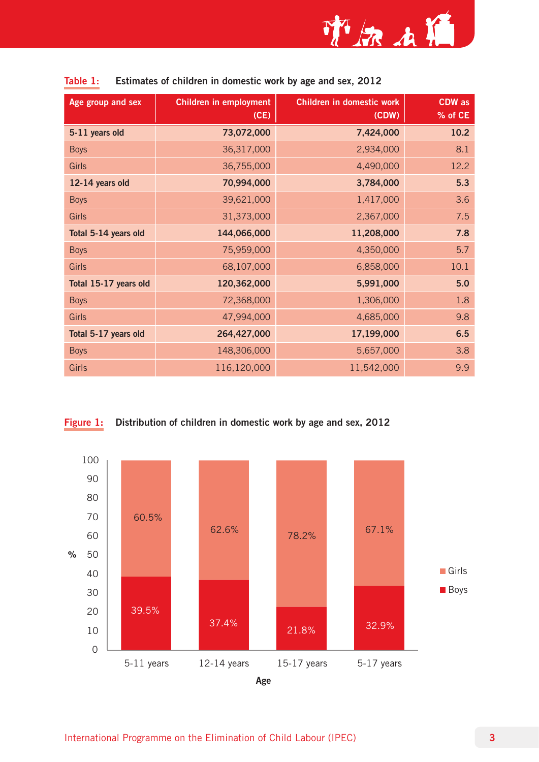

| Age group and sex     | <b>Children in employment</b> | Children in domestic work | <b>CDW</b> as |
|-----------------------|-------------------------------|---------------------------|---------------|
|                       | (CE)                          | (CDW)                     | % of CE       |
| 5-11 years old        | 73,072,000                    | 7,424,000                 | 10.2          |
| <b>Boys</b>           | 36,317,000                    | 2,934,000                 | 8.1           |
| <b>Girls</b>          | 36,755,000                    | 4,490,000                 | 12.2          |
| 12-14 years old       | 70,994,000                    | 3,784,000                 | 5.3           |
| <b>Boys</b>           | 39,621,000                    | 1,417,000                 | 3.6           |
| <b>Girls</b>          | 31,373,000                    | 2,367,000                 | 7.5           |
| Total 5-14 years old  | 144,066,000                   | 11,208,000                | 7.8           |
| <b>Boys</b>           | 75,959,000                    | 4,350,000                 | 5.7           |
| <b>Girls</b>          | 68,107,000                    | 6,858,000                 | 10.1          |
| Total 15-17 years old | 120,362,000                   | 5,991,000                 | 5.0           |
| <b>Boys</b>           | 72,368,000                    | 1,306,000                 | 1.8           |
| <b>Girls</b>          | 47,994,000                    | 4,685,000                 | 9.8           |
| Total 5-17 years old  | 264,427,000                   | 17,199,000                | 6.5           |
| <b>Boys</b>           | 148,306,000                   | 5,657,000                 | 3.8           |
| Girls                 | 116,120,000                   | 11,542,000                | 9.9           |

|  | Table 1: Estimates of children in domestic work by age and sex, 2012 |  |
|--|----------------------------------------------------------------------|--|
|--|----------------------------------------------------------------------|--|



Figure 1: Distribution of children in domestic work by age and sex, 2012

Age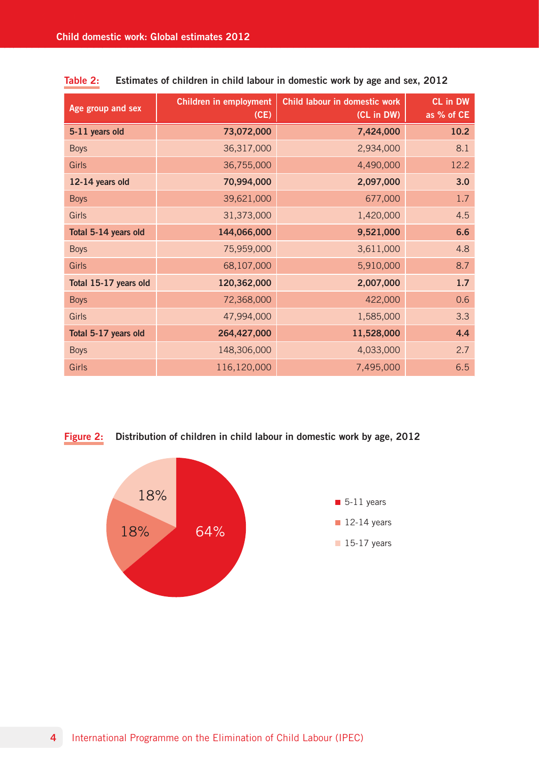| Age group and sex     | Children in employment<br>(CE) | Child labour in domestic work<br>(CL in DW) | CL in DW<br>as % of CE |
|-----------------------|--------------------------------|---------------------------------------------|------------------------|
| 5-11 years old        | 73,072,000                     | 7,424,000                                   | 10.2                   |
| <b>Boys</b>           | 36,317,000                     | 2,934,000                                   | 8.1                    |
| <b>Girls</b>          | 36,755,000                     | 4,490,000                                   | 12.2                   |
| 12-14 years old       | 70,994,000                     | 2,097,000                                   | 3.0                    |
| <b>Boys</b>           | 39,621,000                     | 677,000                                     | 1.7                    |
| <b>Girls</b>          | 31,373,000                     | 1,420,000                                   | 4.5                    |
| Total 5-14 years old  | 144,066,000                    | 9,521,000                                   | 6.6                    |
| <b>Boys</b>           | 75,959,000                     | 3,611,000                                   | 4.8                    |
| <b>Girls</b>          | 68,107,000                     | 5,910,000                                   | 8.7                    |
| Total 15-17 years old | 120,362,000                    | 2,007,000                                   | 1.7                    |
| <b>Boys</b>           | 72,368,000                     | 422,000                                     | 0.6                    |
| <b>Girls</b>          | 47,994,000                     | 1,585,000                                   | 3.3                    |
| Total 5-17 years old  | 264,427,000                    | 11,528,000                                  | 4.4                    |
| <b>Boys</b>           | 148,306,000                    | 4,033,000                                   | 2.7                    |
| <b>Girls</b>          | 116,120,000                    | 7,495,000                                   | 6.5                    |

| Table 2: | Estimates of children in child labour in domestic work by age and sex, 2012 |  |  |  |  |  |  |  |
|----------|-----------------------------------------------------------------------------|--|--|--|--|--|--|--|
|----------|-----------------------------------------------------------------------------|--|--|--|--|--|--|--|

### Figure 2: Distribution of children in child labour in domestic work by age, 2012

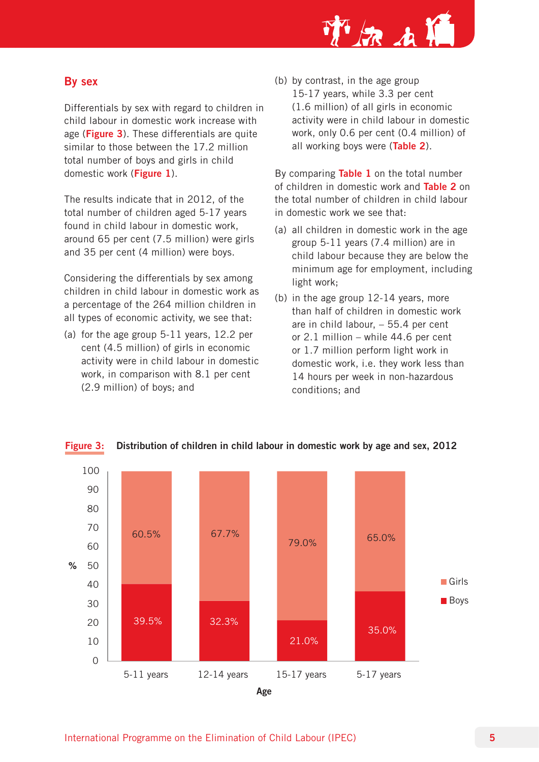That

## By sex

Differentials by sex with regard to children in child labour in domestic work increase with age (Figure 3). These differentials are quite similar to those between the 17.2 million total number of boys and girls in child domestic work (Figure 1).

The results indicate that in 2012, of the total number of children aged 5-17 years found in child labour in domestic work, around 65 per cent (7.5 million) were girls and 35 per cent (4 million) were boys.

Considering the differentials by sex among children in child labour in domestic work as a percentage of the 264 million children in all types of economic activity, we see that:

(a) for the age group 5-11 years, 12.2 per cent (4.5 million) of girls in economic activity were in child labour in domestic work, in comparison with 8.1 per cent (2.9 million) of boys; and

(b) by contrast, in the age group 15-17 years, while 3.3 per cent (1.6 million) of all girls in economic activity were in child labour in domestic work, only 0.6 per cent (0.4 million) of all working boys were (Table 2).

By comparing Table 1 on the total number of children in domestic work and **Table 2** on the total number of children in child labour in domestic work we see that:

- (a) all children in domestic work in the age group 5-11 years (7.4 million) are in child labour because they are below the minimum age for employment, including light work;
- (b) in the age group 12-14 years, more than half of children in domestic work are in child labour, – 55.4 per cent or 2.1 million – while 44.6 per cent or 1.7 million perform light work in domestic work, i.e. they work less than 14 hours per week in non-hazardous conditions; and



Figure 3: Distribution of children in child labour in domestic work by age and sex, 2012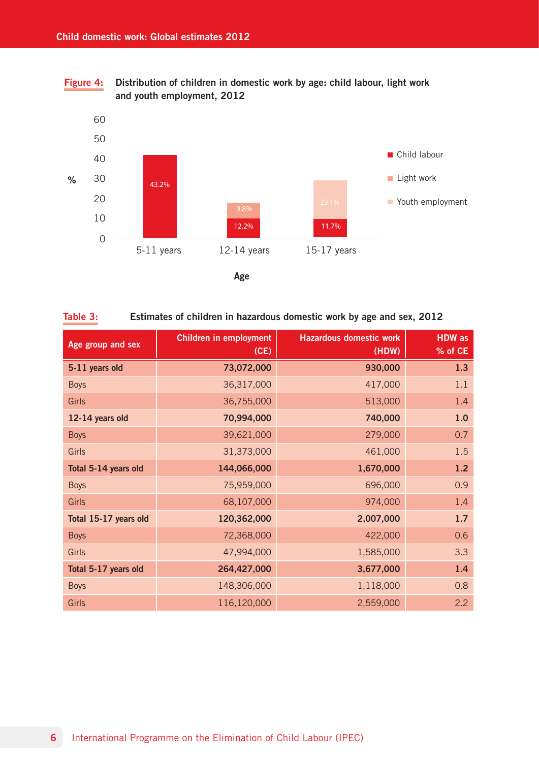Figure 4: Distribution of children in domestic work by age: child labour, light work and youth employment, 2012



Table 3: Estimates of children in hazardous domestic work by age and sex, 2012

| Age group and sex     | <b>Children in employment</b><br>(CE) | <b>Hazardous domestic work</b><br>(HDW) | <b>HDW</b> as<br>% of CE |
|-----------------------|---------------------------------------|-----------------------------------------|--------------------------|
| 5-11 years old        | 73,072,000                            | 930,000                                 | 1.3                      |
| <b>Boys</b>           | 36,317,000                            | 417,000                                 | 1.1                      |
| Girls                 | 36,755,000                            | 513,000                                 | 1.4                      |
| 12-14 years old       | 70,994,000                            | 740,000                                 | 1.0                      |
| <b>Boys</b>           | 39,621,000                            | 279,000                                 | 0.7                      |
| Girls                 | 31,373,000                            | 461,000                                 | 1.5                      |
| Total 5-14 years old  | 144,066,000                           | 1,670,000                               | 1.2                      |
| <b>Boys</b>           | 75,959,000                            | 696,000                                 | 0.9                      |
| <b>Girls</b>          | 68,107,000                            | 974,000                                 | 1.4                      |
| Total 15-17 years old | 120,362,000                           | 2,007,000                               | 1.7                      |
| <b>Boys</b>           | 72,368,000                            | 422,000                                 | 0.6                      |
| <b>Girls</b>          | 47,994,000                            | 1,585,000                               | 3.3                      |
| Total 5-17 years old  | 264,427,000                           | 3,677,000                               | 1.4                      |
| <b>Boys</b>           | 148,306,000                           | 1,118,000                               | 0.8                      |
| Girls                 | 116,120,000                           | 2,559,000                               | 2.2                      |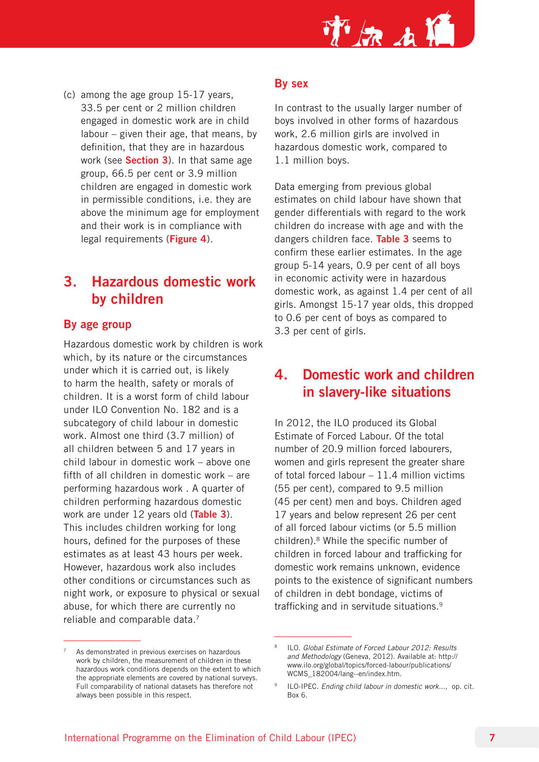

(c) among the age group 15-17 years, 33.5 per cent or 2 million children engaged in domestic work are in child labour – given their age, that means, by definition, that they are in hazardous work (see Section 3). In that same age group, 66.5 per cent or 3.9 million children are engaged in domestic work in permissible conditions, i.e. they are above the minimum age for employment and their work is in compliance with legal requirements (Figure 4).

# 3. Hazardous domestic work by children

#### By age group

Hazardous domestic work by children is work which, by its nature or the circumstances under which it is carried out, is likely to harm the health, safety or morals of children. It is a worst form of child labour under ILO Convention No. 182 and is a subcategory of child labour in domestic work. Almost one third (3.7 million) of all children between 5 and 17 years in child labour in domestic work – above one fifth of all children in domestic work – are performing hazardous work . A quarter of children performing hazardous domestic work are under 12 years old (Table 3). This includes children working for long hours, defined for the purposes of these estimates as at least 43 hours per week. However, hazardous work also includes other conditions or circumstances such as night work, or exposure to physical or sexual abuse, for which there are currently no reliable and comparable data.<sup>7</sup>

## By sex

In contrast to the usually larger number of boys involved in other forms of hazardous work, 2.6 million girls are involved in hazardous domestic work, compared to 1.1 million boys.

Data emerging from previous global estimates on child labour have shown that gender differentials with regard to the work children do increase with age and with the dangers children face. Table 3 seems to confirm these earlier estimates. In the age group 5-14 years, 0.9 per cent of all boys in economic activity were in hazardous domestic work, as against 1.4 per cent of all girls. Amongst 15-17 year olds, this dropped to 0.6 per cent of boys as compared to 3.3 per cent of girls.

# 4. Domestic work and children in slavery-like situations

In 2012, the ILO produced its Global Estimate of Forced Labour. Of the total number of 20.9 million forced labourers, women and girls represent the greater share of total forced labour  $-11.4$  million victims (55 per cent), compared to 9.5 million (45 per cent) men and boys. Children aged 17 years and below represent 26 per cent of all forced labour victims (or 5.5 million children).8 While the specific number of children in forced labour and trafficking for domestic work remains unknown, evidence points to the existence of significant numbers of children in debt bondage, victims of trafficking and in servitude situations.9

As demonstrated in previous exercises on hazardous work by children, the measurement of children in these hazardous work conditions depends on the extent to which the appropriate elements are covered by national surveys. Full comparability of national datasets has therefore not always been possible in this respect.

<sup>8</sup> ILO. *Global Estimate of Forced Labour 2012: Results and Methodology* (Geneva, 2012). Available at: http:// www.ilo.org/global/topics/forced-labour/publications/ WCMS\_182004/lang--en/index.htm.

<sup>9</sup> ILO-IPEC. *Ending child labour in domestic work...*, op. cit. Box 6.